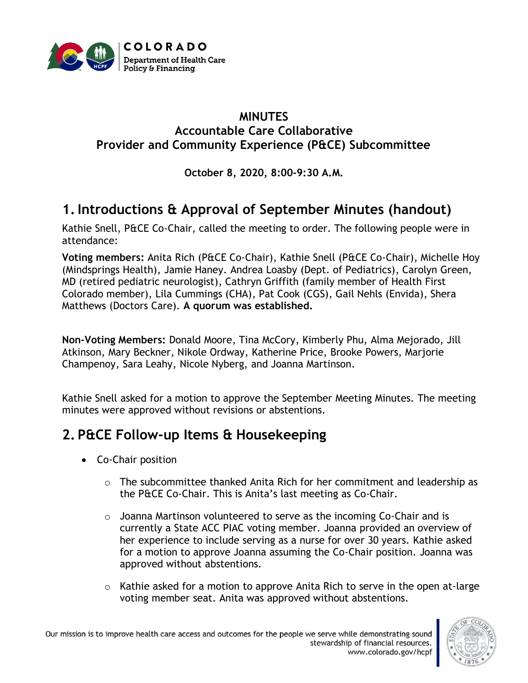

#### **MINUTES Accountable Care Collaborative Provider and Community Experience (P&CE) Subcommittee**

#### **October 8, 2020, 8:00-9:30 A.M.**

# **1.Introductions & Approval of September Minutes (handout)**

Kathie Snell, P&CE Co-Chair, called the meeting to order. The following people were in attendance:

**Voting members:** Anita Rich (P&CE Co-Chair), Kathie Snell (P&CE Co-Chair), Michelle Hoy (Mindsprings Health), Jamie Haney. Andrea Loasby (Dept. of Pediatrics), Carolyn Green, MD (retired pediatric neurologist), Cathryn Griffith (family member of Health First Colorado member), Lila Cummings (CHA), Pat Cook (CGS), Gail Nehls (Envida), Shera Matthews (Doctors Care). **A quorum was established.**

**Non-Voting Members:** Donald Moore, Tina McCory, Kimberly Phu, Alma Mejorado, Jill Atkinson, Mary Beckner, Nikole Ordway, Katherine Price, Brooke Powers, Marjorie Champenoy, Sara Leahy, Nicole Nyberg, and Joanna Martinson.

Kathie Snell asked for a motion to approve the September Meeting Minutes. The meeting minutes were approved without revisions or abstentions.

### **2. P&CE Follow-up Items & Housekeeping**

- Co-Chair position
	- $\circ$  The subcommittee thanked Anita Rich for her commitment and leadership as the P&CE Co-Chair. This is Anita's last meeting as Co-Chair.
	- $\circ$  Joanna Martinson volunteered to serve as the incoming Co-Chair and is currently a State ACC PIAC voting member. Joanna provided an overview of her experience to include serving as a nurse for over 30 years. Kathie asked for a motion to approve Joanna assuming the Co-Chair position. Joanna was approved without abstentions.
	- o Kathie asked for a motion to approve Anita Rich to serve in the open at-large voting member seat. Anita was approved without abstentions.

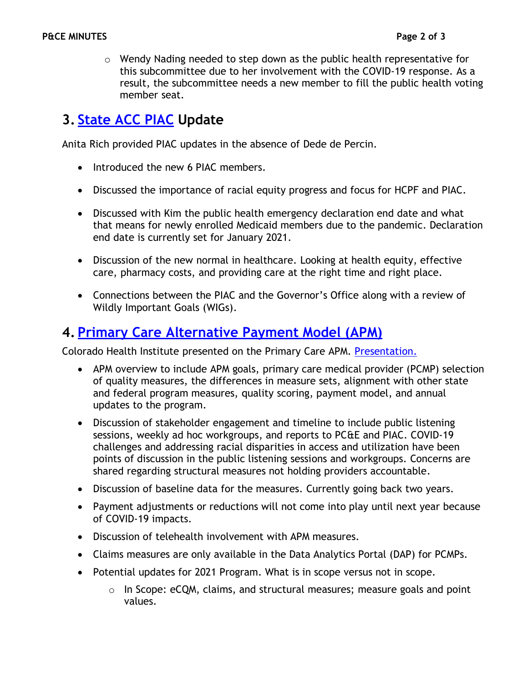$\circ$  Wendy Nading needed to step down as the public health representative for this subcommittee due to her involvement with the COVID-19 response. As a result, the subcommittee needs a new member to fill the public health voting member seat.

# **3. [State ACC PIAC](https://www.colorado.gov/pacific/hcpf/accountable-care-collaborative-program-improvement-advisory-committee) Update**

Anita Rich provided PIAC updates in the absence of Dede de Percin.

- Introduced the new 6 PIAC members.
- Discussed the importance of racial equity progress and focus for HCPF and PIAC.
- Discussed with Kim the public health emergency declaration end date and what that means for newly enrolled Medicaid members due to the pandemic. Declaration end date is currently set for January 2021.
- Discussion of the new normal in healthcare. Looking at health equity, effective care, pharmacy costs, and providing care at the right time and right place.
- Connections between the PIAC and the Governor's Office along with a review of Wildly Important Goals (WIGs).

### **4. [Primary Care Alternative Payment Model](https://www.colorado.gov/pacific/hcpf/primary-care-payment-reform-3) (APM)**

Colorado Health Institute presented on the Primary Care APM. [Presentation.](https://www.colorado.gov/pacific/sites/default/files/Accountable%20Care%20Collaborative%20Provider%20and%20Community%20Experience%20PIAC%20Subcommittee%20APM%202021%20for%20Primary%20Care%20PowerPoint%20updated%20October%202020.pdf)

- APM overview to include APM goals, primary care medical provider (PCMP) selection of quality measures, the differences in measure sets, alignment with other state and federal program measures, quality scoring, payment model, and annual updates to the program.
- Discussion of stakeholder engagement and timeline to include public listening sessions, weekly ad hoc workgroups, and reports to PC&E and PIAC. COVID-19 challenges and addressing racial disparities in access and utilization have been points of discussion in the public listening sessions and workgroups. Concerns are shared regarding structural measures not holding providers accountable.
- Discussion of baseline data for the measures. Currently going back two years.
- Payment adjustments or reductions will not come into play until next year because of COVID-19 impacts.
- Discussion of telehealth involvement with APM measures.
- Claims measures are only available in the Data Analytics Portal (DAP) for PCMPs.
- Potential updates for 2021 Program. What is in scope versus not in scope.
	- $\circ$  In Scope: eCQM, claims, and structural measures; measure goals and point values.